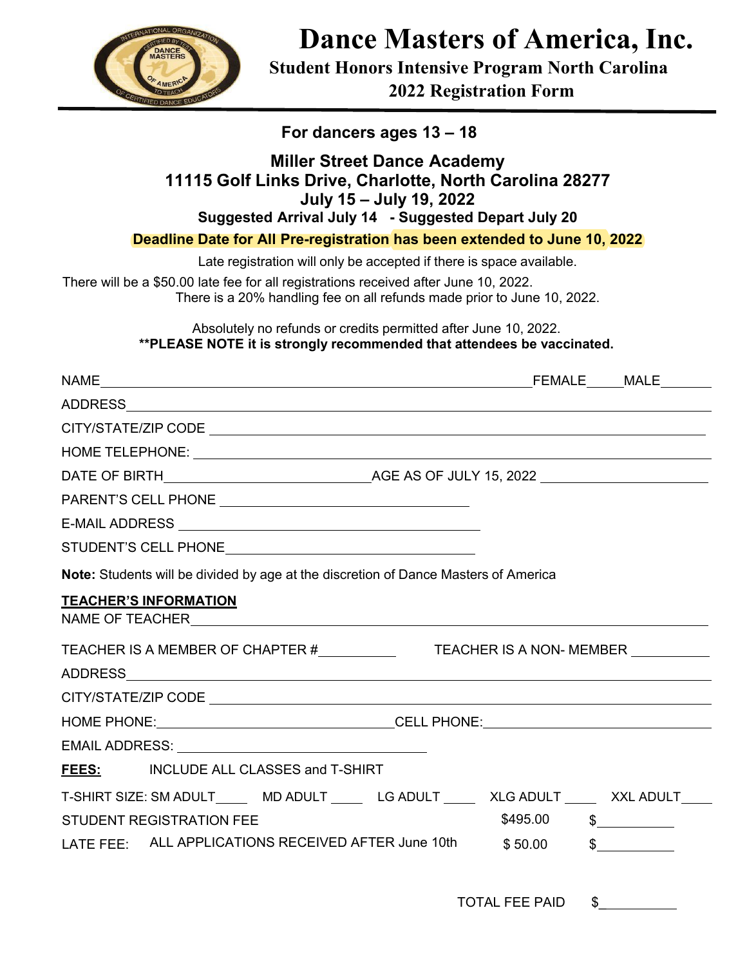

**Dance Masters of America, Inc.** 

**Student Honors Intensive Program North Carolina**

**2022 Registration Form** 

| For dancers ages 13 - 18                                                                                                                                                                                                       |
|--------------------------------------------------------------------------------------------------------------------------------------------------------------------------------------------------------------------------------|
| <b>Miller Street Dance Academy</b><br>11115 Golf Links Drive, Charlotte, North Carolina 28277<br>July 15 - July 19, 2022<br>Suggested Arrival July 14 - Suggested Depart July 20                                               |
| Deadline Date for All Pre-registration has been extended to June 10, 2022                                                                                                                                                      |
| Late registration will only be accepted if there is space available.                                                                                                                                                           |
| There will be a \$50.00 late fee for all registrations received after June 10, 2022.<br>There is a 20% handling fee on all refunds made prior to June 10, 2022.                                                                |
| Absolutely no refunds or credits permitted after June 10, 2022.<br>**PLEASE NOTE it is strongly recommended that attendees be vaccinated.                                                                                      |
|                                                                                                                                                                                                                                |
|                                                                                                                                                                                                                                |
|                                                                                                                                                                                                                                |
|                                                                                                                                                                                                                                |
|                                                                                                                                                                                                                                |
|                                                                                                                                                                                                                                |
|                                                                                                                                                                                                                                |
| STUDENT'S CELL PHONE NAME AND RESERVE THE RESERVE THAT A RESERVE THAT A RESERVE THAT A RESERVE THAT A RESERVE THAT A RESERVE THAT A RESERVE THAT A RESERVE THAT A RESERVE THAT A REPORT OF THE STANDARD OF THE STANDARD OF THE |
| Note: Students will be divided by age at the discretion of Dance Masters of America                                                                                                                                            |
| <b>TEACHER'S INFORMATION</b>                                                                                                                                                                                                   |
| TEACHER IS A MEMBER OF CHAPTER #___________<br>TEACHER IS A NON- MEMBER _                                                                                                                                                      |
|                                                                                                                                                                                                                                |
| HOME PHONE:__________________________________CELL PHONE:________________________                                                                                                                                               |
|                                                                                                                                                                                                                                |
| FEES: INCLUDE ALL CLASSES and T-SHIRT                                                                                                                                                                                          |
| T-SHIRT SIZE: SM ADULT_______MD ADULT ________ LG ADULT ________ XLG ADULT _______ XXL ADULT_____                                                                                                                              |
| $$495.00$ $$$<br>STUDENT REGISTRATION FEE                                                                                                                                                                                      |
| LATE FEE: ALL APPLICATIONS RECEIVED AFTER June 10th<br>\$50.00<br>$\sim$                                                                                                                                                       |

TOTAL FEE PAID \$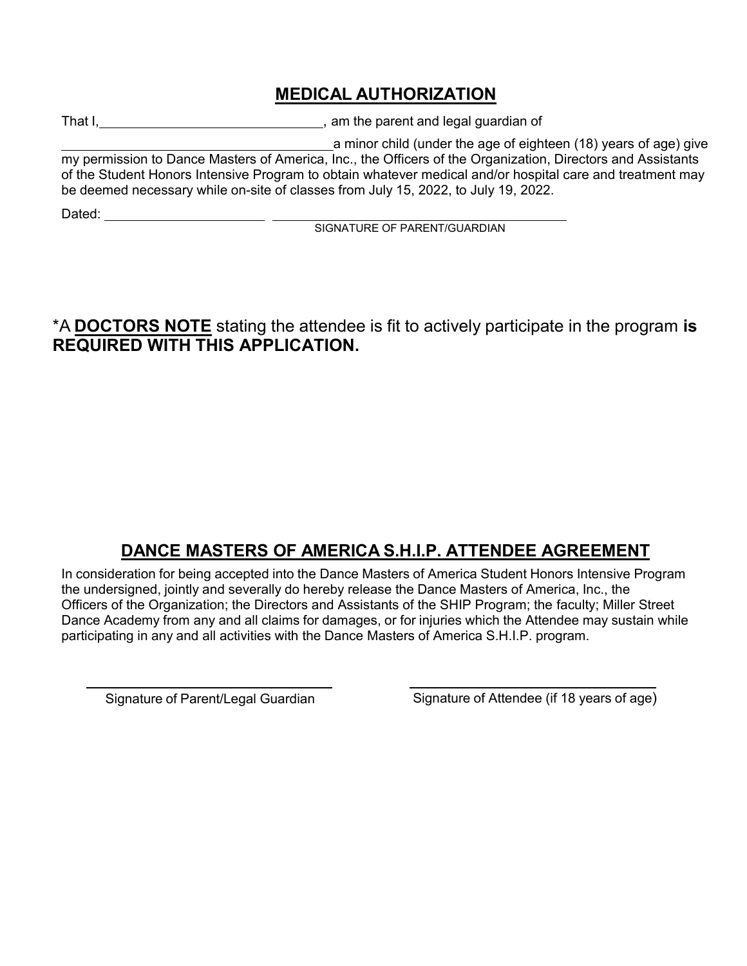## **MEDICAL AUTHORIZATION**

That I, That I, the parent and legal guardian of

a minor child (under the age of eighteen (18) years of age) give my permission to Dance Masters of America, Inc., the Officers of the Organization, Directors and Assistants of the Student Honors Intensive Program to obtain whatever medical and/or hospital care and treatment may be deemed necessary while on-site of classes from July 15, 2022, to July 19, 2022.

Dated:

SIGNATURE OF PARENT/GUARDIAN

\*A **DOCTORS NOTE** stating the attendee is fit to actively participate in the program **is REQUIRED WITH THIS APPLICATION.**

# **DANCE MASTERS OF AMERICA S.H.I.P. ATTENDEE AGREEMENT**

In consideration for being accepted into the Dance Masters of America Student Honors Intensive Program the undersigned, jointly and severally do hereby release the Dance Masters of America, Inc., the Officers of the Organization; the Directors and Assistants of the SHIP Program; the faculty; Miller Street Dance Academy from any and all claims for damages, or for injuries which the Attendee may sustain while participating in any and all activities with the Dance Masters of America S.H.I.P. program.

Signature of Parent/Legal Guardian Signature of Attendee (if 18 years of age)